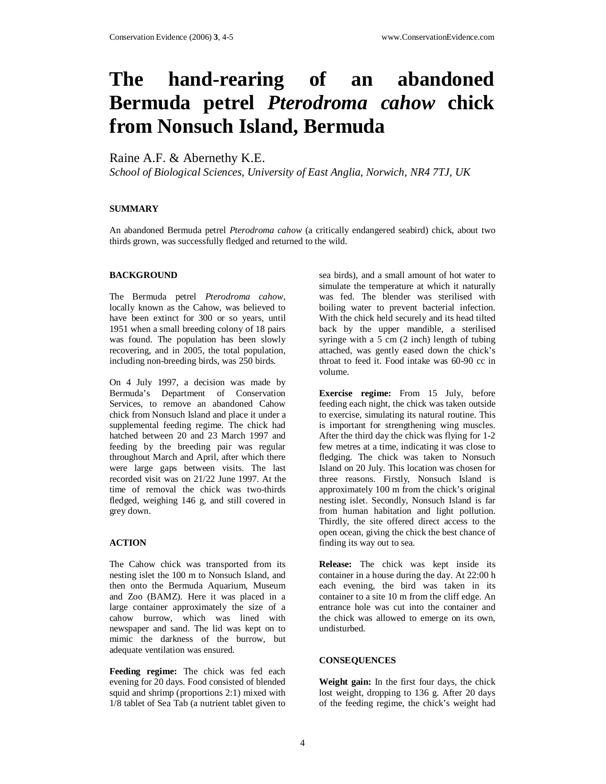# **The hand-rearing of an abandoned Bermuda petrel** *Pterodroma cahow* **chick from Nonsuch Island, Bermuda**

Raine A.F. & Abernethy K.E.

*School of Biological Sciences, University of East Anglia, Norwich, NR4 7TJ, UK* 

### **SUMMARY**

An abandoned Bermuda petrel *Pterodroma cahow* (a critically endangered seabird) chick, about two thirds grown, was successfully fledged and returned to the wild.

## **BACKGROUND**

The Bermuda petrel *Pterodroma cahow*, locally known as the Cahow, was believed to have been extinct for 300 or so years, until 1951 when a small breeding colony of 18 pairs was found. The population has been slowly recovering, and in 2005, the total population, including non-breeding birds, was 250 birds.

On 4 July 1997, a decision was made by Bermuda's Department of Conservation Services, to remove an abandoned Cahow chick from Nonsuch Island and place it under a supplemental feeding regime. The chick had hatched between 20 and 23 March 1997 and feeding by the breeding pair was regular throughout March and April, after which there were large gaps between visits. The last recorded visit was on 21/22 June 1997. At the time of removal the chick was two-thirds fledged, weighing 146 g, and still covered in grey down.

### **ACTION**

The Cahow chick was transported from its nesting islet the 100 m to Nonsuch Island, and then onto the Bermuda Aquarium, Museum and Zoo (BAMZ). Here it was placed in a large container approximately the size of a cahow burrow, which was lined with newspaper and sand. The lid was kept on to mimic the darkness of the burrow, but adequate ventilation was ensured.

**Feeding regime:** The chick was fed each evening for 20 days. Food consisted of blended squid and shrimp (proportions 2:1) mixed with 1/8 tablet of Sea Tab (a nutrient tablet given to

sea birds), and a small amount of hot water to simulate the temperature at which it naturally was fed. The blender was sterilised with boiling water to prevent bacterial infection. With the chick held securely and its head tilted back by the upper mandible, a sterilised syringe with a 5 cm (2 inch) length of tubing attached, was gently eased down the chick's throat to feed it. Food intake was 60-90 cc in volume.

**Exercise regime:** From 15 July, before feeding each night, the chick was taken outside to exercise, simulating its natural routine. This is important for strengthening wing muscles. After the third day the chick was flying for 1-2 few metres at a time, indicating it was close to fledging. The chick was taken to Nonsuch Island on 20 July. This location was chosen for three reasons. Firstly, Nonsuch Island is approximately 100 m from the chick's original nesting islet. Secondly, Nonsuch Island is far from human habitation and light pollution. Thirdly, the site offered direct access to the open ocean, giving the chick the best chance of finding its way out to sea.

**Release:** The chick was kept inside its container in a house during the day. At 22:00 h each evening, the bird was taken in its container to a site 10 m from the cliff edge. An entrance hole was cut into the container and the chick was allowed to emerge on its own, undisturbed.

### **CONSEQUENCES**

**Weight gain:** In the first four days, the chick lost weight, dropping to 136 g. After 20 days of the feeding regime, the chick's weight had